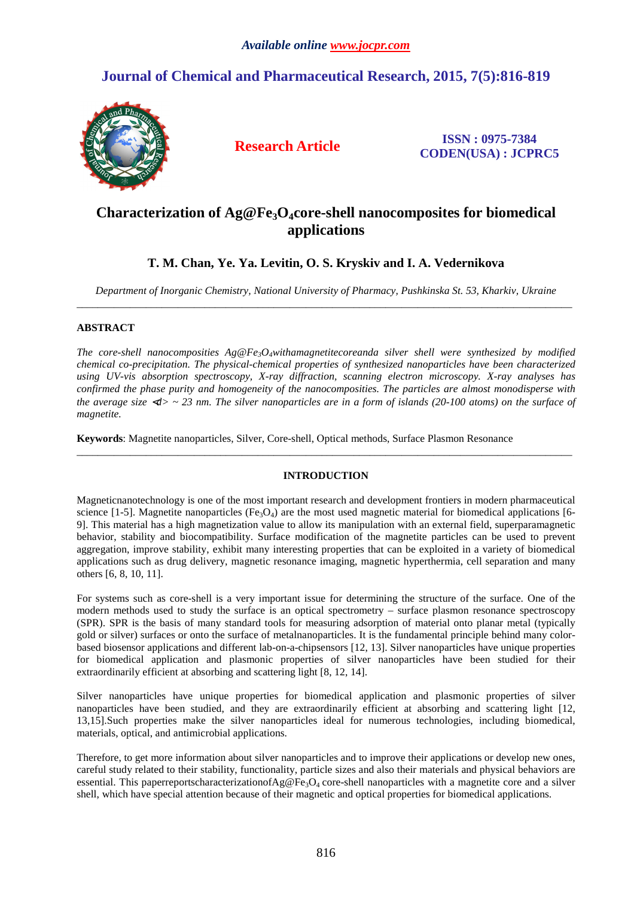# **Journal of Chemical and Pharmaceutical Research, 2015, 7(5):816-819**



**Research Article ISSN : 0975-7384 CODEN(USA) : JCPRC5**

## **Characterization of Ag@Fe3O4core-shell nanocomposites for biomedical applications**

## **T. M. Chan, Ye. Ya. Levitin, O. S. Kryskiv and I. A. Vedernikova**

*Department of Inorganic Chemistry, National University of Pharmacy, Pushkinska St. 53, Kharkiv, Ukraine*  \_\_\_\_\_\_\_\_\_\_\_\_\_\_\_\_\_\_\_\_\_\_\_\_\_\_\_\_\_\_\_\_\_\_\_\_\_\_\_\_\_\_\_\_\_\_\_\_\_\_\_\_\_\_\_\_\_\_\_\_\_\_\_\_\_\_\_\_\_\_\_\_\_\_\_\_\_\_\_\_\_\_\_\_\_\_\_\_\_\_\_\_\_

### **ABSTRACT**

*The core-shell nanocomposities Ag@Fe3O4withamagnetitecoreanda silver shell were synthesized by modified chemical co-precipitation. The physical-chemical properties of synthesized nanoparticles have been characterized using UV-vis absorption spectroscopy, X-ray diffraction, scanning electron microscopy. X-ray analyses has confirmed the phase purity and homogeneity of the nanocomposities. The particles are almost monodisperse with the average size* <*d> ~ 23 nm. The silver nanoparticles are in a form of islands (20-100 atoms) on the surface of magnetite.* 

**Keywords**: Magnetite nanoparticles, Silver, Core-shell, Оptical methods, Surface Plasmon Resonance

## **INTRODUCTION**

\_\_\_\_\_\_\_\_\_\_\_\_\_\_\_\_\_\_\_\_\_\_\_\_\_\_\_\_\_\_\_\_\_\_\_\_\_\_\_\_\_\_\_\_\_\_\_\_\_\_\_\_\_\_\_\_\_\_\_\_\_\_\_\_\_\_\_\_\_\_\_\_\_\_\_\_\_\_\_\_\_\_\_\_\_\_\_\_\_\_\_\_\_

Magneticnanotechnology is one of the most important research and development frontiers in modern pharmaceutical science [1-5]. Magnetite nanoparticles  $(Fe<sub>3</sub>O<sub>4</sub>)$  are the most used magnetic material for biomedical applications [6-9]. This material has a high magnetization value to allow its manipulation with an external field, superparamagnetic behavior, stability and biocompatibility. Surface modification of the magnetite particles can be used to prevent aggregation, improve stability, exhibit many interesting properties that can be exploited in a variety of biomedical applications such as drug delivery, magnetic resonance imaging, magnetic hyperthermia, cell separation and many others [6, 8, 10, 11].

For systems such as core-shell is a very important issue for determining the structure of the surface. One of the modern methods used to study the surface is an optical spectrometry – surface plasmon resonance spectroscopy (SPR). SPR is the basis of many standard tools for measuring adsorption of material onto planar metal (typically gold or silver) surfaces or onto the surface of metalnanoparticles. It is the fundamental principle behind many colorbased biosensor applications and different lab-on-a-chipsensors [12, 13]. Silver nanoparticles have unique properties for biomedical application and plasmonic properties of silver nanoparticles have been studied for their extraordinarily efficient at absorbing and scattering light [8, 12, 14].

Silver nanoparticles have unique properties for biomedical application and plasmonic properties of silver nanoparticles have been studied, and they are extraordinarily efficient at absorbing and scattering light [12, 13,15].Such properties make the silver nanoparticles ideal for numerous technologies, including biomedical, materials, optical, and antimicrobial applications.

Therefore, to get more information about silver nanoparticles and to improve their applications or develop new ones, careful study related to their stability, functionality, particle sizes and also their materials and physical behaviors are essential. This paperreportscharacterizationof $Ag@Fe_3O_4$  core-shell nanoparticles with a magnetite core and a silver shell, which have special attention because of their magnetic and optical properties for biomedical applications.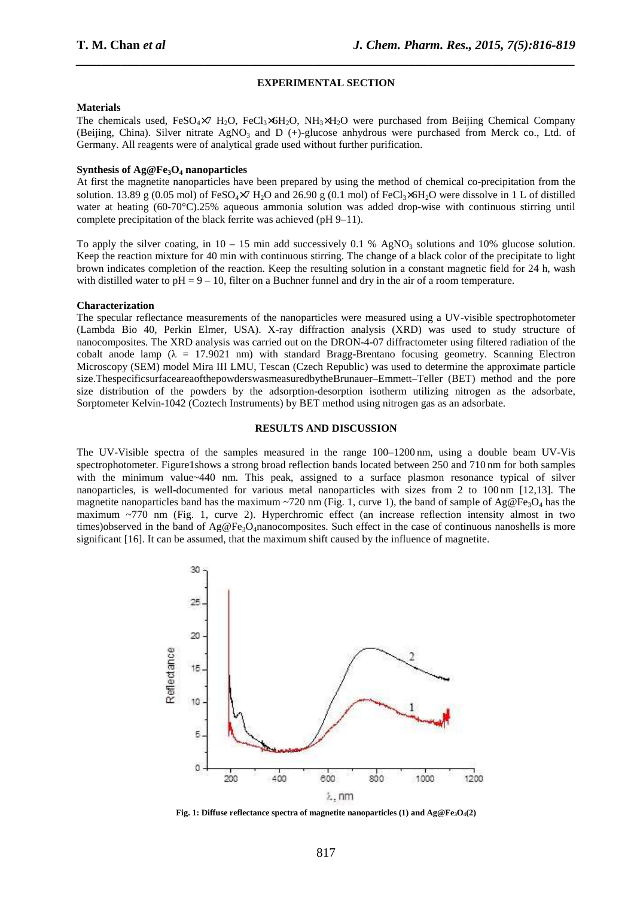#### **EXPERIMENTAL SECTION**

*\_\_\_\_\_\_\_\_\_\_\_\_\_\_\_\_\_\_\_\_\_\_\_\_\_\_\_\_\_\_\_\_\_\_\_\_\_\_\_\_\_\_\_\_\_\_\_\_\_\_\_\_\_\_\_\_\_\_\_\_\_\_\_\_\_\_\_\_\_\_\_\_\_\_\_\_\_\_*

#### **Materials**

The chemicals used,  $FeSO<sub>4</sub>×7 H<sub>2</sub>O$ ,  $FeCl<sub>3</sub>×6H<sub>2</sub>O$ ,  $NH<sub>3</sub>×H<sub>2</sub>O$  were purchased from Beijing Chemical Company (Beijing, China). Silver nitrate AgNO<sub>3</sub> and D (+)-glucose anhydrous were purchased from Merck co., Ltd. of Germany. All reagents were of analytical grade used without further purification.

### **Synthesis of Ag@Fe3O4 nanoparticles**

At first the magnetite nanoparticles have been prepared by using the method of chemical co-precipitation from the solution. 13.89 g (0.05 mol) of FeSO<sub>4</sub>×7 H<sub>2</sub>O and 26.90 g (0.1 mol) of FeCl<sub>2</sub>×6H<sub>2</sub>O were dissolve in 1 L of distilled water at heating (60-70°C).25% aqueous ammonia solution was added drop-wise with continuous stirring until complete precipitation of the black ferrite was achieved (pH 9–11).

To apply the silver coating, in  $10 - 15$  min add successively 0.1 % AgNO<sub>3</sub> solutions and 10% glucose solution. Keep the reaction mixture for 40 min with continuous stirring. The change of a black color of the precipitate to light brown indicates completion of the reaction. Keep the resulting solution in a constant magnetic field for 24 h, wash with distilled water to  $pH = 9 - 10$ , filter on a Buchner funnel and dry in the air of a room temperature.

#### **Characterization**

The specular reflectance measurements of the nanoparticles were measured using a UV-visible spectrophotometer (Lambda Bio 40, Perkin Elmer, USA). X-ray diffraction analysis (XRD) was used to study structure of nanocomposites. The XRD analysis was carried out on the DRON-4-07 diffractometer using filtered radiation of the cobalt anode lamp ( $\lambda = 17.9021$  nm) with standard Bragg-Brentano focusing geometry. Scanning Electron Microscopy (SEM) model Mira III LMU, Tescan (Czech Republic) was used to determine the approximate particle size.ThespecificsurfaceareaofthepowderswasmeasuredbytheBrunauer–Emmett–Teller (BET) method and the pore size distribution of the powders by the adsorption-desorption isotherm utilizing nitrogen as the adsorbate, Sorptometer Kelvіn-1042 (Coztech Instruments) by BET method using nitrogen gas as an adsorbate.

#### **RESULTS AND DISCUSSION**

The UV-Visible spectra of the samples measured in the range 100–1200 nm, using a double beam UV-Vis spectrophotometer. Figure1shows a strong broad reflection bands located between 250 and 710 nm for both samples with the minimum value~440 nm. This peak, assigned to a surface plasmon resonance typical of silver nanoparticles, is well-documented for various metal nanoparticles with sizes from 2 to 100 nm [12,13]. The magnetite nanoparticles band has the maximum ~720 nm (Fig. 1, curve 1), the band of sample of Ag@Fe<sub>3</sub>O<sub>4</sub> has the maximum  $\sim$ 770 nm (Fig. 1, curve 2). Hyperchromic effect (an increase reflection intensity almost in two times)observed in the band of  $Ag@Fe_3O_4$ nanocomposites. Such effect in the case of continuous nanoshells is more significant [16]. It can be assumed, that the maximum shift caused by the influence of magnetite.



**Fig. 1: Diffuse reflectance spectra of magnetite nanoparticles (1) and Ag@Fe3O4(2)**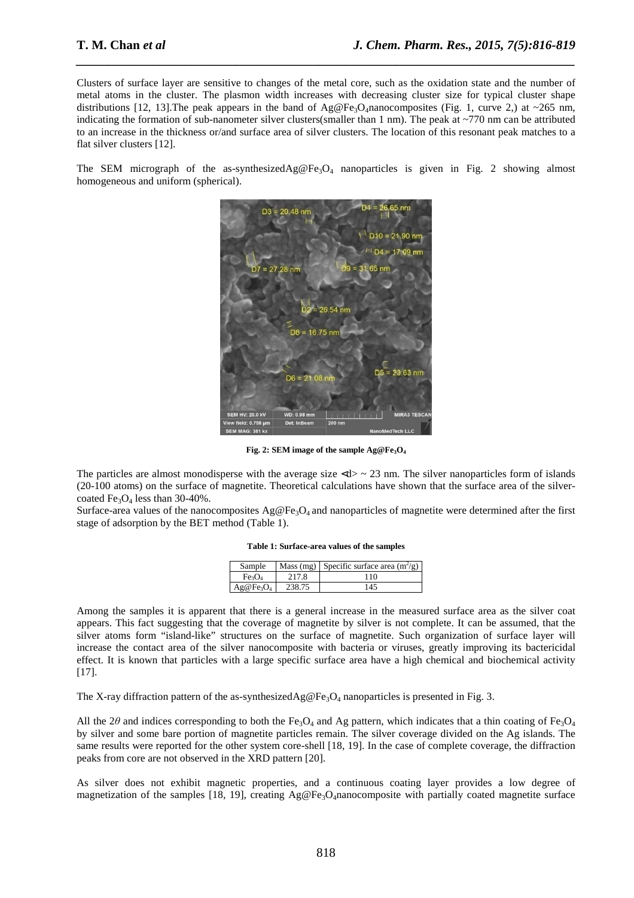Clusters of surface layer are sensitive to changes of the metal core, such as the oxidation state and the number of metal atoms in the cluster. The plasmon width increases with decreasing cluster size for typical cluster shape distributions [12, 13]. The peak appears in the band of Ag@Fe<sub>3</sub>O<sub>4</sub>nanocomposites (Fig. 1, curve 2,) at ~265 nm, indicating the formation of sub-nanometer silver clusters(smaller than 1 nm). The peak at ~770 nm can be attributed to an increase in the thickness or/and surface area of silver clusters. The location of this resonant peak matches to a flat silver clusters [12].

*\_\_\_\_\_\_\_\_\_\_\_\_\_\_\_\_\_\_\_\_\_\_\_\_\_\_\_\_\_\_\_\_\_\_\_\_\_\_\_\_\_\_\_\_\_\_\_\_\_\_\_\_\_\_\_\_\_\_\_\_\_\_\_\_\_\_\_\_\_\_\_\_\_\_\_\_\_\_*

The SEM micrograph of the as-synthesized $Ag@Fe<sub>3</sub>O<sub>4</sub>$  nanoparticles is given in Fig. 2 showing almost homogeneous and uniform (spherical).



**Fig. 2: SEM image of the sample Ag@Fe3O<sup>4</sup>**

The particles are almost monodisperse with the average size  $\langle d \rangle \sim 23$  nm. The silver nanoparticles form of islands (20-100 atoms) on the surface of magnetite. Theoretical calculations have shown that the surface area of the silvercoated  $Fe<sub>3</sub>O<sub>4</sub>$  less than 30-40%.

Surface-area values of the nanocomposites  $Ag@Fe_3O_4$  and nanoparticles of magnetite were determined after the first stage of adsorption by the BET method (Table 1).

| Table 1: Surface-area values of the samples |  |  |  |  |  |  |
|---------------------------------------------|--|--|--|--|--|--|
|---------------------------------------------|--|--|--|--|--|--|

| Sample       |        | Mass (mg) Specific surface area $(m^2/g)$ |
|--------------|--------|-------------------------------------------|
| Fe3O4        | 2.17.8 | 10                                        |
| $Ag@Fe_3O_4$ | 238.75 | 145                                       |

Among the samples it is apparent that there is a general increase in the measured surface area as the silver coat appears. This fact suggesting that the coverage of magnetite by silver is not complete. It can be assumed, that the silver atoms form "island-like" structures on the surface of magnetite. Such organization of surface layer will increase the contact area of the silver nanocomposite with bacteria or viruses, greatly improving its bactericidal effect. It is known that particles with a large specific surface area have a high chemical and biochemical activity [17].

The X-ray diffraction pattern of the as-synthesizedAg@Fe<sub>3</sub>O<sub>4</sub> nanoparticles is presented in Fig. 3.

All the 2 $\theta$  and indices corresponding to both the Fe<sub>3</sub>O<sub>4</sub> and Ag pattern, which indicates that a thin coating of Fe<sub>3</sub>O<sub>4</sub> by silver and some bare portion of magnetite particles remain. The silver coverage divided on the Ag islands. The same results were reported for the other system core-shell [18, 19]. In the case of complete coverage, the diffraction peaks from core are not observed in the XRD pattern [20].

As silver does not exhibit magnetic properties, and a continuous coating layer provides a low degree of magnetization of the samples [18, 19], creating  $Ag@Fe_3O_4$ nanocomposite with partially coated magnetite surface